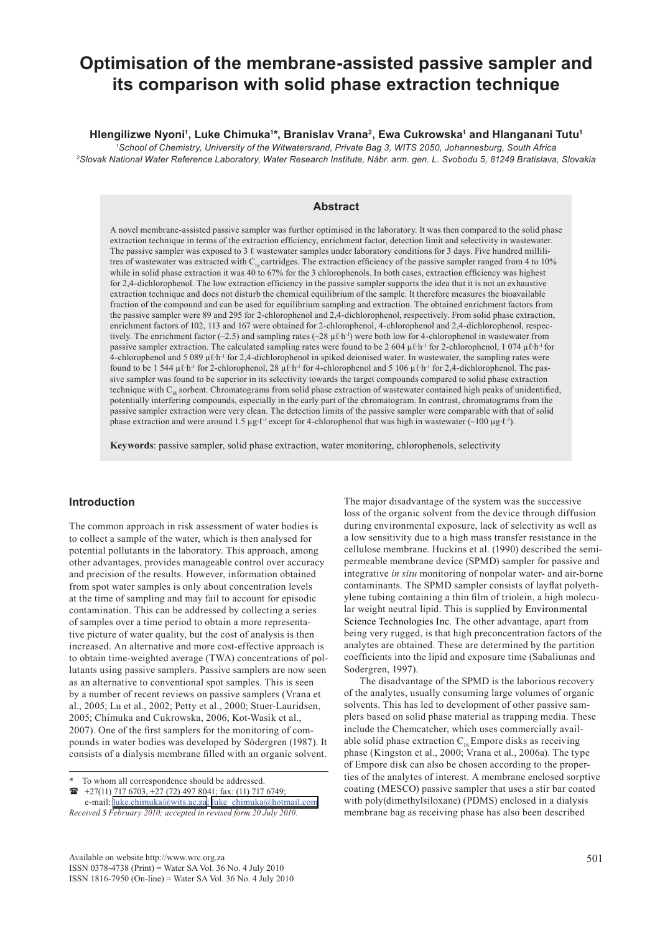# **Optimisation of the membrane-assisted passive sampler and its comparison with solid phase extraction technique**

## Hlengilizwe Nyoni<sup>ı</sup>, Luke Chimuka<sup>1</sup>\*, Branislav Vrana<sup>2</sup>, Ewa Cukrowska<sup>ı</sup> and Hlanganani Tutu<sup>ı</sup>

*1 School of Chemistry, University of the Witwatersrand, Private Bag 3, WITS 2050, Johannesburg, South Africa 2 Slovak National Water Reference Laboratory, Water Research Institute, Nábr. arm. gen. L. Svobodu 5, 81249 Bratislava, Slovakia*

## **Abstract**

A novel membrane-assisted passive sampler was further optimised in the laboratory. It was then compared to the solid phase extraction technique in terms of the extraction efficiency, enrichment factor, detection limit and selectivity in wastewater. The passive sampler was exposed to 3  $\ell$  wastewater samples under laboratory conditions for 3 days. Five hundred millilitres of wastewater was extracted with C<sub>18</sub> cartridges. The extraction efficiency of the passive sampler ranged from 4 to 10% while in solid phase extraction it was  $40$  to  $67%$  for the 3 chlorophenols. In both cases, extraction efficiency was highest for 2,4-dichlorophenol. The low extraction efficiency in the passive sampler supports the idea that it is not an exhaustive extraction technique and does not disturb the chemical equilibrium of the sample. It therefore measures the bioavailable fraction of the compound and can be used for equilibrium sampling and extraction. The obtained enrichment factors from the passive sampler were 89 and 295 for 2-chlorophenol and 2,4-dichlorophenol, respectively. From solid phase extraction, enrichment factors of 102, 113 and 167 were obtained for 2-chlorophenol, 4-chlorophenol and 2,4-dichlorophenol, respectively. The enrichment factor (~2.5) and sampling rates (~28  $\mu$ 0<sup>t</sup>h<sup>-1</sup>) were both low for 4-chlorophenol in wastewater from passive sampler extraction. The calculated sampling rates were found to be 2 604  $\mu$ *l*⋅h<sup>-1</sup> for 2-chlorophenol, 1 074  $\mu$ *l*⋅h<sup>-1</sup> for 4-chlorophenol and 5 089 µℓ∙h-1 for 2,4-dichlorophenol in spiked deionised water. In wastewater, the sampling rates were found to be 1 544 µℓ∙h-1 for 2-chlorophenol, 28 µℓ∙h-1 for 4-chlorophenol and 5 106 µℓ∙h-1 for 2,4-dichlorophenol. The passive sampler was found to be superior in its selectivity towards the target compounds compared to solid phase extraction technique with C<sub>18</sub> sorbent. Chromatograms from solid phase extraction of wastewater contained high peaks of unidentified, potentially interfering compounds, especially in the early part of the chromatogram. In contrast, chromatograms from the passive sampler extraction were very clean. The detection limits of the passive sampler were comparable with that of solid phase extraction and were around 1.5 µg⋅ℓ<sup>-1</sup> except for 4-chlorophenol that was high in wastewater (~100 µg⋅ℓ<sup>-1</sup>).

**Keywords**: passive sampler, solid phase extraction, water monitoring, chlorophenols, selectivity

# **Introduction**

The common approach in risk assessment of water bodies is to collect a sample of the water, which is then analysed for potential pollutants in the laboratory. This approach, among other advantages, provides manageable control over accuracy and precision of the results. However, information obtained from spot water samples is only about concentration levels at the time of sampling and may fail to account for episodic contamination. This can be addressed by collecting a series of samples over a time period to obtain a more representative picture of water quality, but the cost of analysis is then increased. An alternative and more cost-effective approach is to obtain time-weighted average (TWA) concentrations of pollutants using passive samplers. Passive samplers are now seen as an alternative to conventional spot samples. This is seen by a number of recent reviews on passive samplers (Vrana et al., 2005; Lu et al., 2002; Petty et al., 2000; Stuer-Lauridsen, 2005; Chimuka and Cukrowska, 2006; Kot-Wasik et al., 2007). One of the first samplers for the monitoring of compounds in water bodies was developed by Södergren (1987). It consists of a dialysis membrane filled with an organic solvent.

Available on website http://www.wrc.org.za ISSN 0378-4738 (Print) = Water SA Vol. 36 No. 4 July 2010 ISSN 1816-7950 (On-line) = Water SA Vol. 36 No. 4 July 2010 The major disadvantage of the system was the successive loss of the organic solvent from the device through diffusion during environmental exposure, lack of selectivity as well as a low sensitivity due to a high mass transfer resistance in the cellulose membrane. Huckins et al. (1990) described the semipermeable membrane device (SPMD) sampler for passive and integrative *in situ* monitoring of nonpolar water- and air-borne contaminants. The SPMD sampler consists of layflat polyethylene tubing containing a thin film of triolein, a high molecular weight neutral lipid. This is supplied by Environmental Science Technologies Inc. The other advantage, apart from being very rugged, is that high preconcentration factors of the analytes are obtained. These are determined by the partition coefficients into the lipid and exposure time (Sabaliunas and Sodergren, 1997).

The disadvantage of the SPMD is the laborious recovery of the analytes, usually consuming large volumes of organic solvents. This has led to development of other passive samplers based on solid phase material as trapping media. These include the Chemcatcher, which uses commercially available solid phase extraction  $C_{18}$  Empore disks as receiving phase (Kingston et al., 2000; Vrana et al., 2006a). The type of Empore disk can also be chosen according to the properties of the analytes of interest. A membrane enclosed sorptive coating (MESCO) passive sampler that uses a stir bar coated with poly(dimethylsiloxane) (PDMS) enclosed in a dialysis membrane bag as receiving phase has also been described

To whom all correspondence should be addressed.

 $\bullet$  +27(11) 717 6703, +27 (72) 497 8041; fax: (11) 717 6749; e-mail: [luke.chimuka@wits.ac.za;](mailto:luke_chimuka@hotmail.com) [luke\\_chimuka@hotmail.com](mailto:luke_chimuka@hotmail.com)  *Received \$ February 2010; accepted in revised form 20 July 2010.*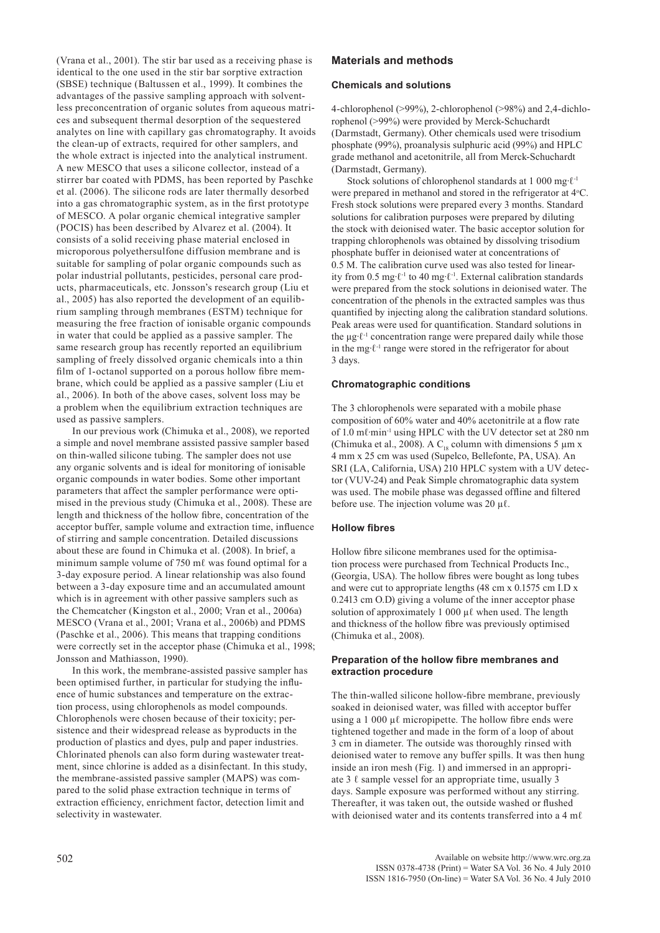(Vrana et al., 2001). The stir bar used as a receiving phase is identical to the one used in the stir bar sorptive extraction (SBSE) technique (Baltussen et al., 1999). It combines the advantages of the passive sampling approach with solventless preconcentration of organic solutes from aqueous matrices and subsequent thermal desorption of the sequestered analytes on line with capillary gas chromatography. It avoids the clean-up of extracts, required for other samplers, and the whole extract is injected into the analytical instrument. A new MESCO that uses a silicone collector, instead of a stirrer bar coated with PDMS, has been reported by Paschke et al. (2006). The silicone rods are later thermally desorbed into a gas chromatographic system, as in the first prototype of MESCO. A polar organic chemical integrative sampler (POCIS) has been described by Alvarez et al. (2004). It consists of a solid receiving phase material enclosed in microporous polyethersulfone diffusion membrane and is suitable for sampling of polar organic compounds such as polar industrial pollutants, pesticides, personal care products, pharmaceuticals, etc. Jonsson's research group (Liu et al., 2005) has also reported the development of an equilibrium sampling through membranes (ESTM) technique for measuring the free fraction of ionisable organic compounds in water that could be applied as a passive sampler. The same research group has recently reported an equilibrium sampling of freely dissolved organic chemicals into a thin film of 1-octanol supported on a porous hollow fibre membrane, which could be applied as a passive sampler (Liu et al., 2006). In both of the above cases, solvent loss may be a problem when the equilibrium extraction techniques are used as passive samplers.

In our previous work (Chimuka et al., 2008), we reported a simple and novel membrane assisted passive sampler based on thin-walled silicone tubing. The sampler does not use any organic solvents and is ideal for monitoring of ionisable organic compounds in water bodies. Some other important parameters that affect the sampler performance were optimised in the previous study (Chimuka et al., 2008). These are length and thickness of the hollow fibre, concentration of the acceptor buffer, sample volume and extraction time, influence of stirring and sample concentration. Detailed discussions about these are found in Chimuka et al. (2008). In brief, a minimum sample volume of 750 mℓ was found optimal for a 3-day exposure period. A linear relationship was also found between a 3-day exposure time and an accumulated amount which is in agreement with other passive samplers such as the Chemcatcher (Kingston et al., 2000; Vran et al., 2006a) MESCO (Vrana et al., 2001; Vrana et al., 2006b) and PDMS (Paschke et al., 2006). This means that trapping conditions were correctly set in the acceptor phase (Chimuka et al., 1998; Jonsson and Mathiasson, 1990).

In this work, the membrane-assisted passive sampler has been optimised further, in particular for studying the influence of humic substances and temperature on the extraction process, using chlorophenols as model compounds. Chlorophenols were chosen because of their toxicity; persistence and their widespread release as byproducts in the production of plastics and dyes, pulp and paper industries. Chlorinated phenols can also form during wastewater treatment, since chlorine is added as a disinfectant. In this study, the membrane-assisted passive sampler (MAPS) was compared to the solid phase extraction technique in terms of extraction efficiency, enrichment factor, detection limit and selectivity in wastewater.

# **Materials and methods**

#### **Chemicals and solutions**

4-chlorophenol (>99%), 2-chlorophenol (>98%) and 2,4-dichlorophenol (>99%) were provided by Merck-Schuchardt (Darmstadt, Germany). Other chemicals used were trisodium phosphate (99%), proanalysis sulphuric acid (99%) and HPLC grade methanol and acetonitrile, all from Merck-Schuchardt (Darmstadt, Germany).

Stock solutions of chlorophenol standards at 1 000 mg⋅ℓ<sup>-1</sup> were prepared in methanol and stored in the refrigerator at 4°C. Fresh stock solutions were prepared every 3 months. Standard solutions for calibration purposes were prepared by diluting the stock with deionised water. The basic acceptor solution for trapping chlorophenols was obtained by dissolving trisodium phosphate buffer in deionised water at concentrations of 0.5 M. The calibration curve used was also tested for linearity from 0.5 mg∙ℓ-1 to 40 mg∙ℓ-1. External calibration standards were prepared from the stock solutions in deionised water. The concentration of the phenols in the extracted samples was thus quantified by injecting along the calibration standard solutions. Peak areas were used for quantification. Standard solutions in the μg∙ℓ-1 concentration range were prepared daily while those in the mg∙ℓ-1 range were stored in the refrigerator for about 3 days.

#### **Chromatographic conditions**

The 3 chlorophenols were separated with a mobile phase composition of 60% water and 40% acetonitrile at a flow rate of 1.0 mℓ∙min-1 using HPLC with the UV detector set at 280 nm (Chimuka et al., 2008). A C<sub>18</sub> column with dimensions 5  $\mu$ m x 4 mm x 25 cm was used (Supelco, Bellefonte, PA, USA). An SRI (LA, California, USA) 210 HPLC system with a UV detector (VUV-24) and Peak Simple chromatographic data system was used. The mobile phase was degassed offline and filtered before use. The injection volume was 20 µℓ.

#### **Hollow fibres**

Hollow fibre silicone membranes used for the optimisation process were purchased from Technical Products Inc., (Georgia, USA). The hollow fibres were bought as long tubes and were cut to appropriate lengths (48 cm x 0.1575 cm I.D x 0.2413 cm O.D) giving a volume of the inner acceptor phase solution of approximately 1 000  $\mu\ell$  when used. The length and thickness of the hollow fibre was previously optimised (Chimuka et al., 2008).

## **Preparation of the hollow fibre membranes and extraction procedure**

The thin-walled silicone hollow-fibre membrane, previously soaked in deionised water, was filled with acceptor buffer using a 1 000 μl micropipette. The hollow fibre ends were tightened together and made in the form of a loop of about 3 cm in diameter. The outside was thoroughly rinsed with deionised water to remove any buffer spills. It was then hung inside an iron mesh (Fig. 1) and immersed in an appropriate 3  $\ell$  sample vessel for an appropriate time, usually 3 days. Sample exposure was performed without any stirring. Thereafter, it was taken out, the outside washed or flushed with deionised water and its contents transferred into a 4 m $\ell$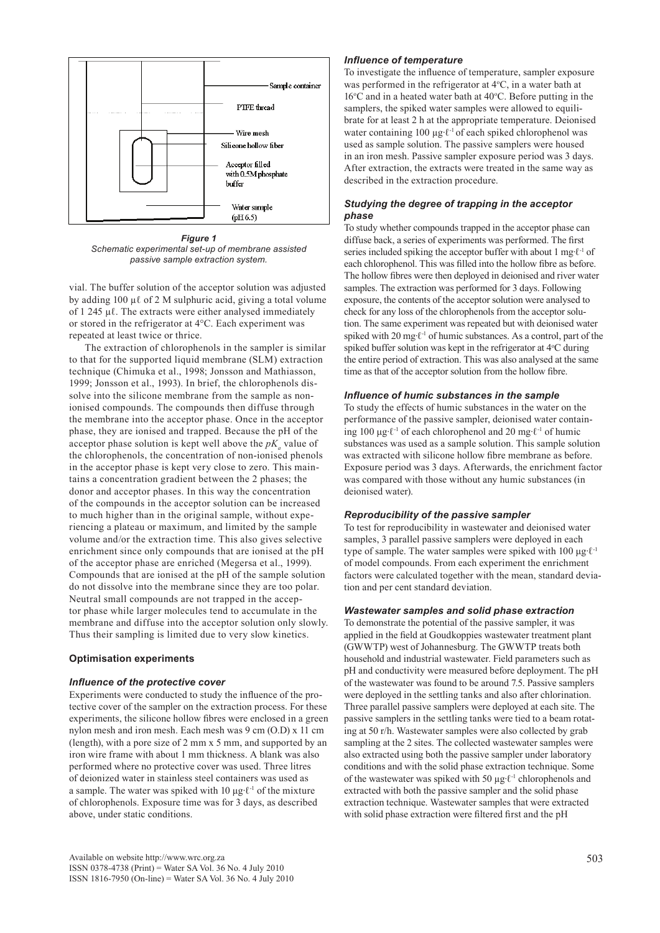

*Figure 1 Schematic experimental set-up of membrane assisted passive sample extraction system.*

vial. The buffer solution of the acceptor solution was adjusted by adding 100  $\mu\ell$  of 2 M sulphuric acid, giving a total volume of 1 245 µℓ. The extracts were either analysed immediately or stored in the refrigerator at 4°C. Each experiment was repeated at least twice or thrice.

The extraction of chlorophenols in the sampler is similar to that for the supported liquid membrane (SLM) extraction technique (Chimuka et al., 1998; Jonsson and Mathiasson, 1999; Jonsson et al., 1993). In brief, the chlorophenols dissolve into the silicone membrane from the sample as nonionised compounds. The compounds then diffuse through the membrane into the acceptor phase. Once in the acceptor phase, they are ionised and trapped. Because the pH of the acceptor phase solution is kept well above the  $pK_a$  value of the chlorophenols, the concentration of non-ionised phenols in the acceptor phase is kept very close to zero. This maintains a concentration gradient between the 2 phases; the donor and acceptor phases. In this way the concentration of the compounds in the acceptor solution can be increased to much higher than in the original sample, without experiencing a plateau or maximum, and limited by the sample volume and/or the extraction time. This also gives selective enrichment since only compounds that are ionised at the pH of the acceptor phase are enriched (Megersa et al., 1999). Compounds that are ionised at the pH of the sample solution do not dissolve into the membrane since they are too polar. Neutral small compounds are not trapped in the acceptor phase while larger molecules tend to accumulate in the membrane and diffuse into the acceptor solution only slowly. Thus their sampling is limited due to very slow kinetics.

## **Optimisation experiments**

#### *Influence of the protective cover*

Experiments were conducted to study the influence of the protective cover of the sampler on the extraction process. For these experiments, the silicone hollow fibres were enclosed in a green nylon mesh and iron mesh. Each mesh was 9 cm (O.D) x 11 cm (length), with a pore size of 2 mm x 5 mm, and supported by an iron wire frame with about 1 mm thickness. A blank was also performed where no protective cover was used. Three litres of deionized water in stainless steel containers was used as a sample. The water was spiked with 10 μg⋅ $\ell$ <sup>-1</sup> of the mixture of chlorophenols. Exposure time was for 3 days, as described above, under static conditions.

#### *Influence of temperature*

To investigate the influence of temperature, sampler exposure was performed in the refrigerator at  $4^{\circ}$ C, in a water bath at  $16^{\circ}$ C and in a heated water bath at  $40^{\circ}$ C. Before putting in the samplers, the spiked water samples were allowed to equilibrate for at least 2 h at the appropriate temperature. Deionised water containing 100 μg⋅ℓ<sup>-1</sup> of each spiked chlorophenol was used as sample solution. The passive samplers were housed in an iron mesh. Passive sampler exposure period was 3 days. After extraction, the extracts were treated in the same way as described in the extraction procedure.

## *Studying the degree of trapping in the acceptor phase*

To study whether compounds trapped in the acceptor phase can diffuse back, a series of experiments was performed. The first series included spiking the acceptor buffer with about 1 mg⋅ℓ<sup>-1</sup> of each chlorophenol. This was filled into the hollow fibre as before. The hollow fibres were then deployed in deionised and river water samples. The extraction was performed for 3 days. Following exposure, the contents of the acceptor solution were analysed to check for any loss of the chlorophenols from the acceptor solution. The same experiment was repeated but with deionised water spiked with 20 mg⋅ℓ<sup>-1</sup> of humic substances. As a control, part of the spiked buffer solution was kept in the refrigerator at  $4^{\circ}$ C during the entire period of extraction. This was also analysed at the same time as that of the acceptor solution from the hollow fibre.

#### *Influence of humic substances in the sample*

To study the effects of humic substances in the water on the performance of the passive sampler, deionised water containing 100 μg∙ℓ-1 of each chlorophenol and 20 mg∙ℓ-1 of humic substances was used as a sample solution. This sample solution was extracted with silicone hollow fibre membrane as before. Exposure period was 3 days. Afterwards, the enrichment factor was compared with those without any humic substances (in deionised water).

## *Reproducibility of the passive sampler*

To test for reproducibility in wastewater and deionised water samples, 3 parallel passive samplers were deployed in each type of sample. The water samples were spiked with 100 μg⋅ℓ<sup>-1</sup> of model compounds. From each experiment the enrichment factors were calculated together with the mean, standard deviation and per cent standard deviation.

## *Wastewater samples and solid phase extraction*

To demonstrate the potential of the passive sampler, it was applied in the field at Goudkoppies wastewater treatment plant (GWWTP) west of Johannesburg. The GWWTP treats both household and industrial wastewater. Field parameters such as pH and conductivity were measured before deployment. The pH of the wastewater was found to be around 7.5. Passive samplers were deployed in the settling tanks and also after chlorination. Three parallel passive samplers were deployed at each site. The passive samplers in the settling tanks were tied to a beam rotating at 50 r/h. Wastewater samples were also collected by grab sampling at the 2 sites. The collected wastewater samples were also extracted using both the passive sampler under laboratory conditions and with the solid phase extraction technique. Some of the wastewater was spiked with 50 µg∙ℓ-1 chlorophenols and extracted with both the passive sampler and the solid phase extraction technique. Wastewater samples that were extracted with solid phase extraction were filtered first and the pH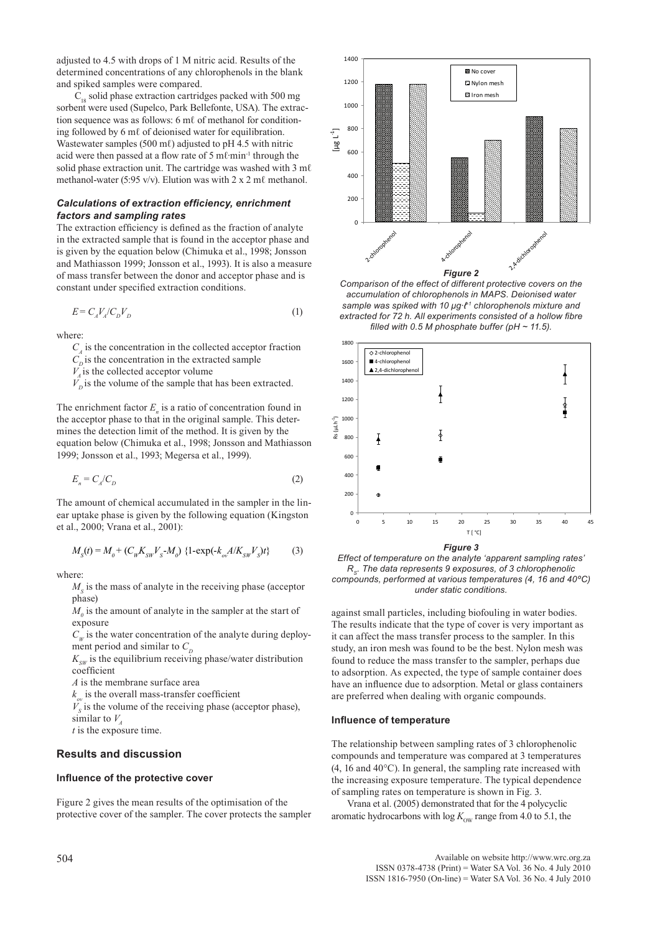adjusted to 4.5 with drops of 1 M nitric acid. Results of the determined concentrations of any chlorophenols in the blank and spiked samples were compared.

 $C_{18}$  solid phase extraction cartridges packed with 500 mg sorbent were used (Supelco, Park Bellefonte, USA). The extraction sequence was as follows: 6 mℓ of methanol for conditioning followed by 6 mℓ of deionised water for equilibration. Wastewater samples (500 m $\ell$ ) adjusted to pH 4.5 with nitric acid were then passed at a flow rate of 5 mℓ∙min-1 through the solid phase extraction unit. The cartridge was washed with 3 m $\ell$ methanol-water (5:95 v/v). Elution was with  $2 \times 2$  m $\ell$  methanol.

# *Calculations of extraction efficiency, enrichment factors and sampling rates*

The extraction efficiency is defined as the fraction of analyte in the extracted sample that is found in the acceptor phase and is given by the equation below (Chimuka et al., 1998; Jonsson and Mathiasson 1999; Jonsson et al., 1993). It is also a measure of mass transfer between the donor and acceptor phase and is constant under specified extraction conditions.

$$
E = C_A V_A / C_D V_D \tag{1}
$$

where:

 $C<sub>A</sub>$  is the concentration in the collected acceptor fraction

 $C_p$  is the concentration in the extracted sample

 $V<sub>4</sub>$  is the collected acceptor volume

 $V_{\text{o}}^2$  is the volume of the sample that has been extracted.

The enrichment factor  $E_n$  is a ratio of concentration found in the acceptor phase to that in the original sample. This determines the detection limit of the method. It is given by the equation below (Chimuka et al., 1998; Jonsson and Mathiasson 1999; Jonsson et al., 1993; Megersa et al., 1999).

$$
E_n = C_A / C_D \tag{2}
$$

The amount of chemical accumulated in the sampler in the linear uptake phase is given by the following equation (Kingston et al., 2000; Vrana et al., 2001):

$$
M_{s}(t) = M_{0} + (C_{W}K_{SW}V_{S} - M_{0}) \{1 - \exp(-k_{ov}A/K_{SW}V_{S})t\}
$$
 (3)

where:

 $M<sub>s</sub>$  is the mass of analyte in the receiving phase (acceptor phase)

 $M_{0}$  is the amount of analyte in the sampler at the start of exposure

 $C_W$  is the water concentration of the analyte during deployment period and similar to  $C_D$ 

 $K_{sw}$  is the equilibrium receiving phase/water distribution coefficient

*A* is the membrane surface area

 $k_{ov}$  is the overall mass-transfer coefficient

 $V<sub>S</sub>$  is the volume of the receiving phase (acceptor phase), similar to  $V_A$ 

*t* is the exposure time.

# **Results and discussion**

#### **Influence of the protective cover**

Figure 2 gives the mean results of the optimisation of the protective cover of the sampler. The cover protects the sampler



*Comparison of the effect of different protective covers on the accumulation of chlorophenols in MAPS. Deionised water sample was spiked with 10 μg∙ℓ-1 chlorophenols mixture and extracted for 72 h. All experiments consisted of a hollow fibre*  filled with 0.5 M phosphate buffer ( $pH \sim 11.5$ ).



*Figure 3*

*Effect of temperature on the analyte 'apparent sampling rates' RS. The data represents 9 exposures, of 3 chlorophenolic compounds, performed at various temperatures (4, 16 and 40ºC) under static conditions.*

against small particles, including biofouling in water bodies. The results indicate that the type of cover is very important as it can affect the mass transfer process to the sampler. In this study, an iron mesh was found to be the best. Nylon mesh was found to reduce the mass transfer to the sampler, perhaps due to adsorption. As expected, the type of sample container does have an influence due to adsorption. Metal or glass containers are preferred when dealing with organic compounds.

#### **Influence of temperature**

The relationship between sampling rates of 3 chlorophenolic compounds and temperature was compared at 3 temperatures (4, 16 and 40°C). In general, the sampling rate increased with the increasing exposure temperature. The typical dependence of sampling rates on temperature is shown in Fig. 3.

Vrana et al. (2005) demonstrated that for the 4 polycyclic aromatic hydrocarbons with  $\log K_{\text{ow}}$  range from 4.0 to 5.1, the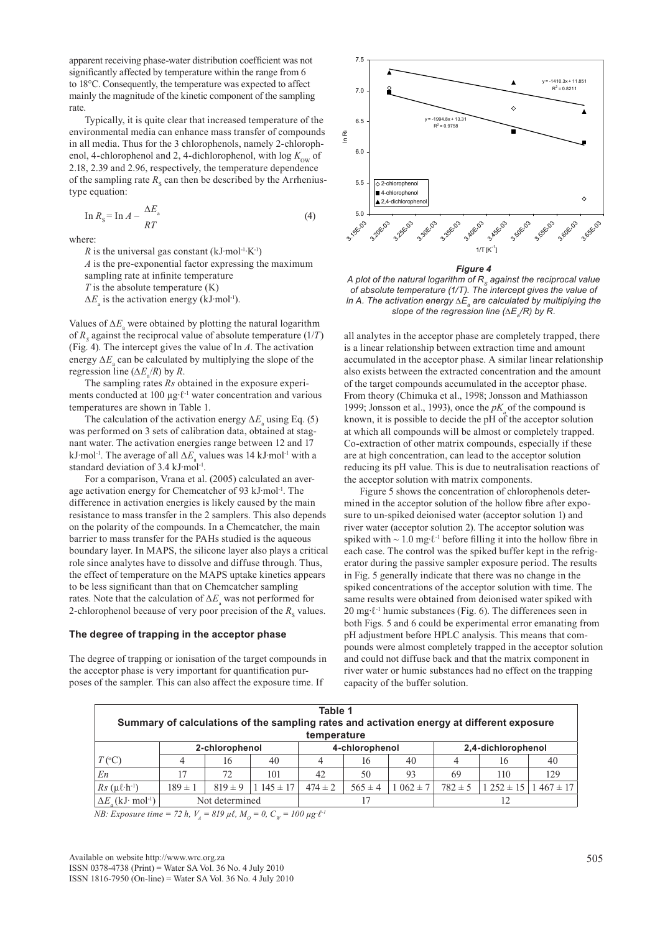apparent receiving phase-water distribution coefficient was not significantly affected by temperature within the range from 6 to 18°C. Consequently, the temperature was expected to affect mainly the magnitude of the kinetic component of the sampling rate.

Typically, it is quite clear that increased temperature of the environmental media can enhance mass transfer of compounds in all media. Thus for the 3 chlorophenols, namely 2-chlorophenol, 4-chlorophenol and 2, 4-dichlorophenol, with  $\log K_{\text{ow}}$  of 2.18, 2.39 and 2.96, respectively, the temperature dependence of the sampling rate  $R<sub>S</sub>$  can then be described by the Arrheniustype equation:

$$
\ln R_{\rm s} = \ln A - \frac{\Delta E_{\rm a}}{RT} \tag{4}
$$

where:

*R* is the universal gas constant  $(kJ·mol^{-1}·K^{-1})$ 

*A* is the pre-exponential factor expressing the maximum sampling rate at infinite temperature

*T* is the absolute temperature (K)

 $\Delta E$ <sub>a</sub> is the activation energy (kJ⋅mol<sup>-1</sup>).

Values of ∆*E*<sub>a</sub> were obtained by plotting the natural logarithm of  $R<sub>S</sub>$  against the reciprocal value of absolute temperature (1/*T*) (Fig. 4). The intercept gives the value of ln *A*. The activation energy  $\Delta E$ <sub>a</sub> can be calculated by multiplying the slope of the regression line ( $\Delta E_a/R$ ) by *R*.

The sampling rates *Rs* obtained in the exposure experiments conducted at 100 µg∙ℓ-1 water concentration and various temperatures are shown in Table 1.

The calculation of the activation energy  $\Delta E$ <sub>a</sub> using Eq. (5) was performed on 3 sets of calibration data, obtained at stagnant water. The activation energies range between 12 and 17 kJ⋅mol<sup>-1</sup>. The average of all ∆*E*<sub>a</sub> values was 14 kJ⋅mol<sup>-1</sup> with a standard deviation of 3.4 kJ∙mol-1.

For a comparison, Vrana et al. (2005) calculated an average activation energy for Chemcatcher of 93 kJ∙mol-1. The difference in activation energies is likely caused by the main resistance to mass transfer in the 2 samplers. This also depends on the polarity of the compounds. In a Chemcatcher, the main barrier to mass transfer for the PAHs studied is the aqueous boundary layer. In MAPS, the silicone layer also plays a critical role since analytes have to dissolve and diffuse through. Thus, the effect of temperature on the MAPS uptake kinetics appears to be less significant than that on Chemcatcher sampling rates. Note that the calculation of ∆*E*<sub>a</sub> was not performed for 2-chlorophenol because of very poor precision of the  $R<sub>S</sub>$  values.

#### **The degree of trapping in the acceptor phase**

The degree of trapping or ionisation of the target compounds in the acceptor phase is very important for quantification purposes of the sampler. This can also affect the exposure time. If



*Figure 4*

A plot of the natural logarithm of R<sub>s</sub> against the reciprocal value *of absolute temperature (1/T). The intercept gives the value of ln A. The activation energy ∆E<sub>a</sub> are calculated by multiplying the* slope of the regression line (∆E<sub>a</sub>/R) by R.

all analytes in the acceptor phase are completely trapped, there is a linear relationship between extraction time and amount accumulated in the acceptor phase. A similar linear relationship also exists between the extracted concentration and the amount of the target compounds accumulated in the acceptor phase. From theory (Chimuka et al., 1998; Jonsson and Mathiasson 1999; Jonsson et al., 1993), once the  $pK$  of the compound is known, it is possible to decide the pH of the acceptor solution at which all compounds will be almost or completely trapped. Co-extraction of other matrix compounds, especially if these are at high concentration, can lead to the acceptor solution reducing its pH value. This is due to neutralisation reactions of the acceptor solution with matrix components.

Figure 5 shows the concentration of chlorophenols determined in the acceptor solution of the hollow fibre after exposure to un-spiked deionised water (acceptor solution 1) and river water (acceptor solution 2). The acceptor solution was spiked with ~ 1.0 mg⋅ℓ<sup>-1</sup> before filling it into the hollow fibre in each case. The control was the spiked buffer kept in the refrigerator during the passive sampler exposure period. The results in Fig. 5 generally indicate that there was no change in the spiked concentrations of the acceptor solution with time. The same results were obtained from deionised water spiked with 20 mg⋅ℓ<sup>-1</sup> humic substances (Fig. 6). The differences seen in both Figs. 5 and 6 could be experimental error emanating from pH adjustment before HPLC analysis. This means that compounds were almost completely trapped in the acceptor solution and could not diffuse back and that the matrix component in river water or humic substances had no effect on the trapping capacity of the buffer solution.

| Table 1<br>Summary of calculations of the sampling rates and activation energy at different exposure<br>temperature |                |                |              |             |                |             |                    |               |              |
|---------------------------------------------------------------------------------------------------------------------|----------------|----------------|--------------|-------------|----------------|-------------|--------------------|---------------|--------------|
|                                                                                                                     | 2-chlorophenol |                |              |             | 4-chlorophenol |             | 2,4-dichlorophenol |               |              |
| $T$ (°C)                                                                                                            |                | 16             | 40           |             | 16             | 40          |                    | 16            | 40           |
| En                                                                                                                  |                | 72             | 101          | 42          | 50             | 93          | 69                 | 110           | 129          |
| $Rs(\mu \ell \cdot h^{-1})$                                                                                         | $189 \pm 1$    | $819 \pm 9$    | $145 \pm 17$ | $474 \pm 2$ | $565 \pm 4$    | $062 \pm 7$ | $782 \pm 5$        | $1252 \pm 15$ | $467 \pm 17$ |
| $\Delta E$ (kJ· mol <sup>-1</sup> )                                                                                 |                | Not determined |              |             |                |             |                    |               |              |

*NB: Exposure time = 72 h, V<sub>A</sub> = 819*  $\mu \ell$ *, M<sub>O</sub> = 0, C<sub>W</sub> = 100*  $\mu g \cdot l^{-1}$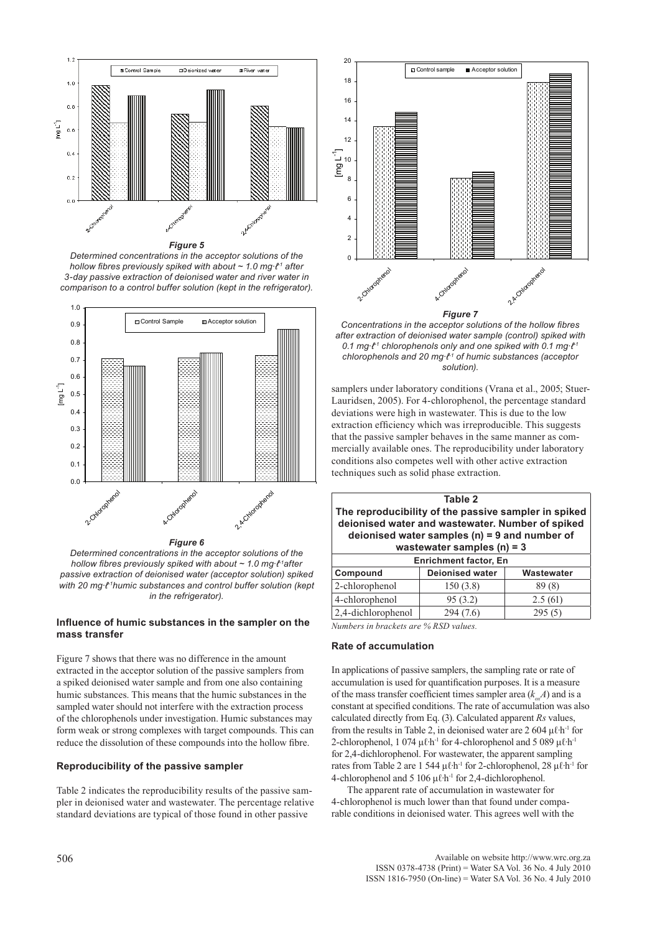

*Figure 5*

*Determined concentrations in the acceptor solutions of the hollow fibres previously spiked with about ~ 1.0 mg⋅ℓ<sup>-1</sup> after 3-day passive extraction of deionised water and river water in comparison to a control buffer solution (kept in the refrigerator).*



*Determined concentrations in the acceptor solutions of the hollow fibres previously spiked with about ~ 1.0 mg∙ℓ-1after passive extraction of deionised water (acceptor solution) spiked with 20 mg∙ℓ-1humic substances and control buffer solution (kept in the refrigerator).*

## **Influence of humic substances in the sampler on the mass transfer**

Figure 7 shows that there was no difference in the amount extracted in the acceptor solution of the passive samplers from a spiked deionised water sample and from one also containing humic substances. This means that the humic substances in the sampled water should not interfere with the extraction process of the chlorophenols under investigation. Humic substances may form weak or strong complexes with target compounds. This can reduce the dissolution of these compounds into the hollow fibre.

## **Reproducibility of the passive sampler**

Table 2 indicates the reproducibility results of the passive sampler in deionised water and wastewater. The percentage relative standard deviations are typical of those found in other passive



*Concentrations in the acceptor solutions of the hollow fibres after extraction of deionised water sample (control) spiked with 0.1 mg∙ℓ-1 chlorophenols only and one spiked with 0.1 mg∙ℓ-1 chlorophenols and 20 mg∙ℓ-1 of humic substances (acceptor solution).*

samplers under laboratory conditions (Vrana et al., 2005; Stuer-Lauridsen, 2005). For 4-chlorophenol, the percentage standard deviations were high in wastewater. This is due to the low extraction efficiency which was irreproducible. This suggests that the passive sampler behaves in the same manner as commercially available ones. The reproducibility under laboratory conditions also competes well with other active extraction techniques such as solid phase extraction.

| Table 2<br>The reproducibility of the passive sampler in spiked<br>deionised water and wastewater. Number of spiked<br>deionised water samples $(n) = 9$ and number of<br>wastewater samples $(n) = 3$ |          |         |  |  |  |  |
|--------------------------------------------------------------------------------------------------------------------------------------------------------------------------------------------------------|----------|---------|--|--|--|--|
| <b>Enrichment factor, En</b>                                                                                                                                                                           |          |         |  |  |  |  |
| <b>Deionised water</b><br>Compound<br>Wastewater                                                                                                                                                       |          |         |  |  |  |  |
| 2-chlorophenol                                                                                                                                                                                         | 150(3.8) | 89(8)   |  |  |  |  |
| 4-chlorophenol                                                                                                                                                                                         | 95(3.2)  | 2.5(61) |  |  |  |  |
| 2,4-dichlorophenol<br>294 (7.6)<br>295(5)                                                                                                                                                              |          |         |  |  |  |  |

*Numbers in brackets are % RSD values.*

## **Rate of accumulation**

In applications of passive samplers, the sampling rate or rate of accumulation is used for quantification purposes. It is a measure of the mass transfer coefficient times sampler area  $(k \nA)$  and is a constant at specified conditions. The rate of accumulation was also calculated directly from Eq. (3). Calculated apparent *Rs* values, from the results in Table 2, in deionised water are 2 604  $\mu$ *l* h<sup>-1</sup> for 2-chlorophenol, 1 074 μℓ⋅h<sup>-1</sup> for 4-chlorophenol and 5 089 μℓ⋅h<sup>-1</sup> for 2,4-dichlorophenol. For wastewater, the apparent sampling rates from Table 2 are 1 544 μℓ∙h-1 for 2-chlorophenol, 28 μℓ∙h-1 for 4-chlorophenol and 5 106 μℓ∙h-1 for 2,4-dichlorophenol.

The apparent rate of accumulation in wastewater for 4-chlorophenol is much lower than that found under comparable conditions in deionised water. This agrees well with the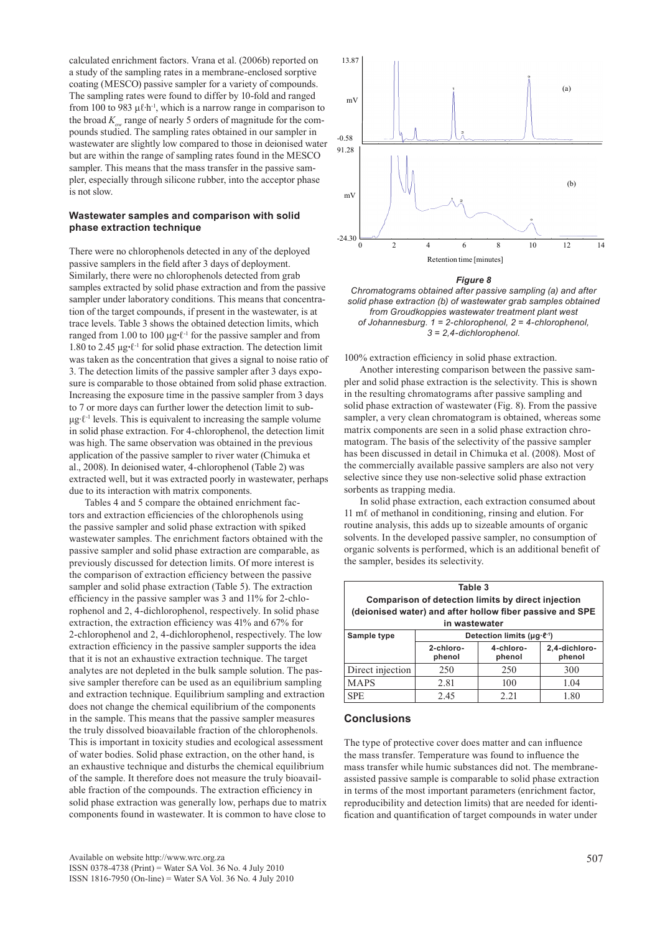calculated enrichment factors. Vrana et al. (2006b) reported on a study of the sampling rates in a membrane-enclosed sorptive coating (MESCO) passive sampler for a variety of compounds. The sampling rates were found to differ by 10-fold and ranged from 100 to 983  $\mu$ l⋅h<sup>-1</sup>, which is a narrow range in comparison to the broad  $K_{\alpha}$  range of nearly 5 orders of magnitude for the compounds studied. The sampling rates obtained in our sampler in wastewater are slightly low compared to those in deionised water but are within the range of sampling rates found in the MESCO sampler. This means that the mass transfer in the passive sampler, especially through silicone rubber, into the acceptor phase is not slow.

## **Wastewater samples and comparison with solid phase extraction technique**

There were no chlorophenols detected in any of the deployed passive samplers in the field after 3 days of deployment. Similarly, there were no chlorophenols detected from grab samples extracted by solid phase extraction and from the passive sampler under laboratory conditions. This means that concentration of the target compounds, if present in the wastewater, is at trace levels. Table 3 shows the obtained detection limits, which ranged from 1.00 to 100 μg*∙*ℓ-1 for the passive sampler and from 1.80 to 2.45 μg*∙*ℓ-1 for solid phase extraction. The detection limit was taken as the concentration that gives a signal to noise ratio of 3. The detection limits of the passive sampler after 3 days exposure is comparable to those obtained from solid phase extraction. Increasing the exposure time in the passive sampler from 3 days to 7 or more days can further lower the detection limit to subμg∙ℓ-1 levels. This is equivalent to increasing the sample volume in solid phase extraction. For 4-chlorophenol, the detection limit was high. The same observation was obtained in the previous application of the passive sampler to river water (Chimuka et al., 2008). In deionised water, 4-chlorophenol (Table 2) was extracted well, but it was extracted poorly in wastewater, perhaps due to its interaction with matrix components.

Tables 4 and 5 compare the obtained enrichment factors and extraction efficiencies of the chlorophenols using the passive sampler and solid phase extraction with spiked wastewater samples. The enrichment factors obtained with the passive sampler and solid phase extraction are comparable, as previously discussed for detection limits. Of more interest is the comparison of extraction efficiency between the passive sampler and solid phase extraction (Table 5). The extraction efficiency in the passive sampler was 3 and 11% for 2-chlorophenol and 2, 4-dichlorophenol, respectively. In solid phase extraction, the extraction efficiency was 41% and 67% for 2-chlorophenol and 2, 4-dichlorophenol, respectively. The low extraction efficiency in the passive sampler supports the idea that it is not an exhaustive extraction technique. The target analytes are not depleted in the bulk sample solution. The passive sampler therefore can be used as an equilibrium sampling and extraction technique. Equilibrium sampling and extraction does not change the chemical equilibrium of the components in the sample. This means that the passive sampler measures the truly dissolved bioavailable fraction of the chlorophenols. This is important in toxicity studies and ecological assessment of water bodies. Solid phase extraction, on the other hand, is an exhaustive technique and disturbs the chemical equilibrium of the sample. It therefore does not measure the truly bioavailable fraction of the compounds. The extraction efficiency in solid phase extraction was generally low, perhaps due to matrix components found in wastewater. It is common to have close to



*Figure 8*

*Chromatograms obtained after passive sampling (a) and after solid phase extraction (b) of wastewater grab samples obtained from Groudkoppies wastewater treatment plant west of Johannesburg. 1 = 2-chlorophenol, 2 = 4-chlorophenol, 3 = 2,4-dichlorophenol.*

100% extraction efficiency in solid phase extraction.

Another interesting comparison between the passive sampler and solid phase extraction is the selectivity. This is shown in the resulting chromatograms after passive sampling and solid phase extraction of wastewater (Fig. 8). From the passive sampler, a very clean chromatogram is obtained, whereas some matrix components are seen in a solid phase extraction chromatogram. The basis of the selectivity of the passive sampler has been discussed in detail in Chimuka et al. (2008). Most of the commercially available passive samplers are also not very selective since they use non-selective solid phase extraction sorbents as trapping media.

In solid phase extraction, each extraction consumed about 11 mℓ of methanol in conditioning, rinsing and elution. For routine analysis, this adds up to sizeable amounts of organic solvents. In the developed passive sampler, no consumption of organic solvents is performed, which is an additional benefit of the sampler, besides its selectivity.

|                                                          | Table 3                                            |                     |                         |  |  |  |
|----------------------------------------------------------|----------------------------------------------------|---------------------|-------------------------|--|--|--|
| Comparison of detection limits by direct injection       |                                                    |                     |                         |  |  |  |
| (deionised water) and after hollow fiber passive and SPE |                                                    |                     |                         |  |  |  |
| in wastewater                                            |                                                    |                     |                         |  |  |  |
| Sample type                                              | Detection limits ( $\mu$ g· $\ell$ <sup>-1</sup> ) |                     |                         |  |  |  |
|                                                          | 2-chloro-<br>phenol                                | 4-chloro-<br>phenol | 2,4-dichloro-<br>phenol |  |  |  |
| Direct injection                                         | 250                                                | 250                 | 300                     |  |  |  |
| <b>MAPS</b>                                              | 2.81                                               | 100                 | 1.04                    |  |  |  |
| <b>SPE</b>                                               | 2.45                                               | 2.21                | 1.80                    |  |  |  |

#### **Conclusions**

The type of protective cover does matter and can influence the mass transfer. Temperature was found to influence the mass transfer while humic substances did not. The membraneassisted passive sample is comparable to solid phase extraction in terms of the most important parameters (enrichment factor, reproducibility and detection limits) that are needed for identification and quantification of target compounds in water under